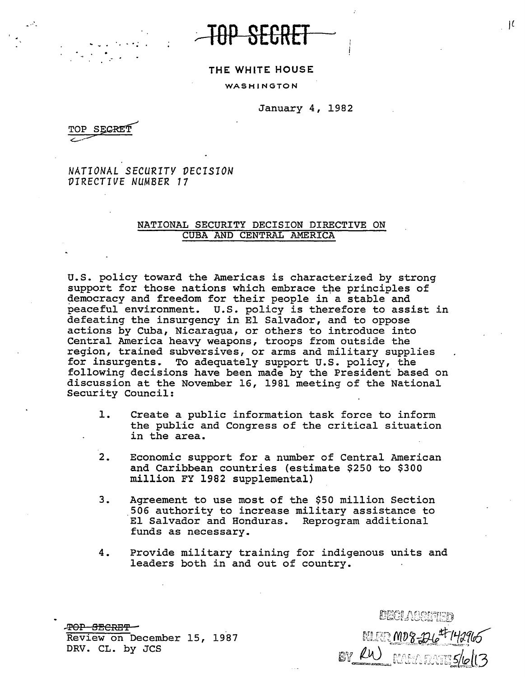... ~p **SECRET** 

## **THE WHITE HOUSE**

WASHINGTON

January 4, 1982

SECRET

. -

.·

*NATIONAL SECURITY VECISION VIRECTIVE NUMBER 17* 

## NATIONAL SECURITY DECISION DIRECTIVE ON CUBA AND CENTRAL AMERICA

U.S. policy toward the Americas is characterized by strong support for those nations which embrace the principles of democracy and freedom for their people in a stable and peaceful environment. u.s. policy is therefore to assist in defeating the insurgency in El Salvador, and to oppose actions by Cuba, Nicaragua, or others to introduce into Central America heavy weapons, troops from outside the region, trained subversives, or arms and military supplies for insurgents. To adequately support u.s. policy, the following decisions have been made by the President based on discussion at the November 16, 1981 meeting of the National Security Council:

- 1. Create a public information task force to inform the public and Congress of the critical situation in the area.
- 2. Economic support for a number of Central American and Caribbean countries (estimate \$250 to \$300 million FY 1982 supplemental)
- 3. Agreement to use most of the \$50 million Section .506 authority to increase military assistance to El Salvador and Honduras. Reprogram additional funds as necessary.
- 4. Provide military training for indigenous units and leaders both in and out of country.

...!!'SP EffiCRE'i' - Review on December 15, 1987 DRV. CL. by JCS

DECLASSIFIED INLEER MD 8-1246<sup>47-14</sup>2965 BY RW MANE5/6

I£